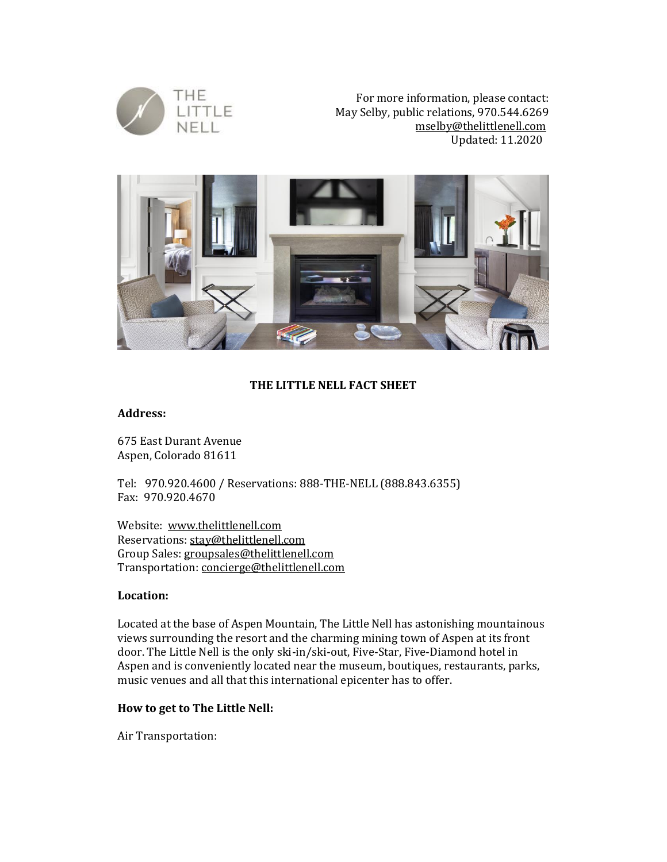

For more information, please contact: May Selby, public relations, 970.544.6269 [mselby@thelittlenell.com](mailto:mselby@thelittlenell.com) Updated: 11.2020



# **THE LITTLE NELL FACT SHEET**

#### **Address:**

675 East Durant Avenue Aspen, Colorado 81611

Tel: 970.920.4600 / Reservations: 888-THE-NELL (888.843.6355) Fax: 970.920.4670

Website: [www.thelittlenell.com](http://www.thelittlenell.com/) Reservations: [stay@thelittlenell.com](mailto:stay@thelittlenell.com) Group Sales: groupsales@thelittlenell.com Transportation: [concierge@thelittlenell.com](mailto:concierge@thelittlenell.com)

## **Location:**

Located at the base of Aspen Mountain, The Little Nell has astonishing mountainous views surrounding the resort and the charming mining town of Aspen at its front door. The Little Nell is the only ski-in/ski-out, Five-Star, Five-Diamond hotel in Aspen and is conveniently located near the museum, boutiques, restaurants, parks, music venues and all that this international epicenter has to offer.

## **How to get to The Little Nell:**

Air Transportation: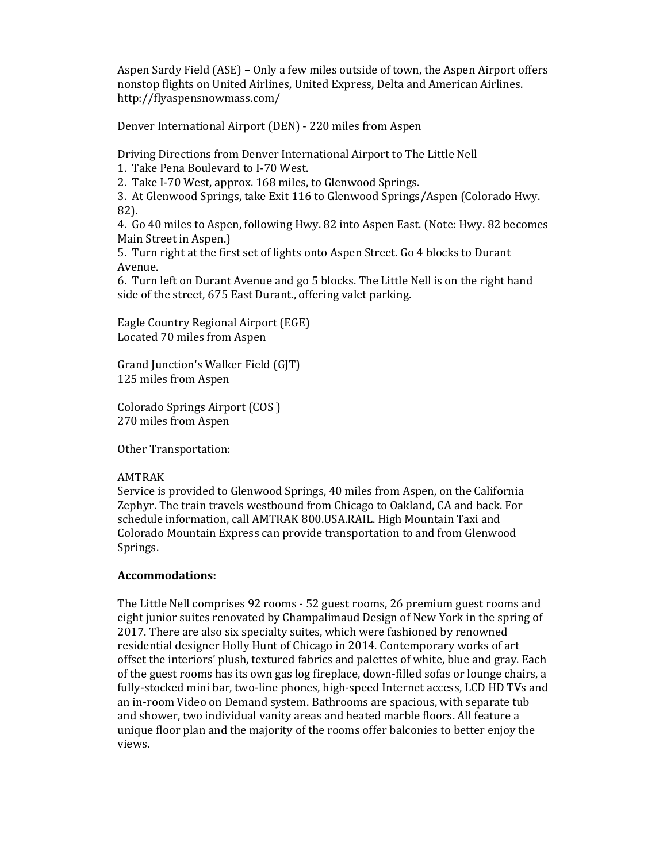Aspen Sardy Field (ASE) – Only a few miles outside of town, the Aspen Airport offers nonstop flights on United Airlines, United Express, Delta and American Airlines. <http://flyaspensnowmass.com/>

Denver International Airport (DEN) - 220 miles from Aspen

Driving Directions from Denver International Airport to The Little Nell

1. Take Pena Boulevard to I-70 West.

2. Take I-70 West, approx. 168 miles, to Glenwood Springs.

3. At Glenwood Springs, take Exit 116 to Glenwood Springs/Aspen (Colorado Hwy. 82).

4. Go 40 miles to Aspen, following Hwy. 82 into Aspen East. (Note: Hwy. 82 becomes Main Street in Aspen.)

5. Turn right at the first set of lights onto Aspen Street. Go 4 blocks to Durant Avenue.

6. Turn left on Durant Avenue and go 5 blocks. The Little Nell is on the right hand side of the street, 675 East Durant., offering valet parking.

Eagle Country Regional Airport (EGE) Located 70 miles from Aspen

Grand Junction's Walker Field (GJT) 125 miles from Aspen

Colorado Springs Airport (COS ) 270 miles from Aspen

Other Transportation:

## AMTRAK

Service is provided to Glenwood Springs, 40 miles from Aspen, on the California Zephyr. The train travels westbound from Chicago to Oakland, CA and back. For schedule information, call AMTRAK 800.USA.RAIL. High Mountain Taxi and Colorado Mountain Express can provide transportation to and from Glenwood Springs.

## **Accommodations:**

The Little Nell comprises 92 rooms - 52 guest rooms, 26 premium guest rooms and eight junior suites renovated by Champalimaud Design of New York in the spring of 2017. There are also six specialty suites, which were fashioned by renowned residential designer Holly Hunt of Chicago in 2014. Contemporary works of art offset the interiors' plush, textured fabrics and palettes of white, blue and gray. Each of the guest rooms has its own gas log fireplace, down-filled sofas or lounge chairs, a fully-stocked mini bar, two-line phones, high-speed Internet access, LCD HD TVs and an in-room Video on Demand system. Bathrooms are spacious, with separate tub and shower, two individual vanity areas and heated marble floors. All feature a unique floor plan and the majority of the rooms offer balconies to better enjoy the views.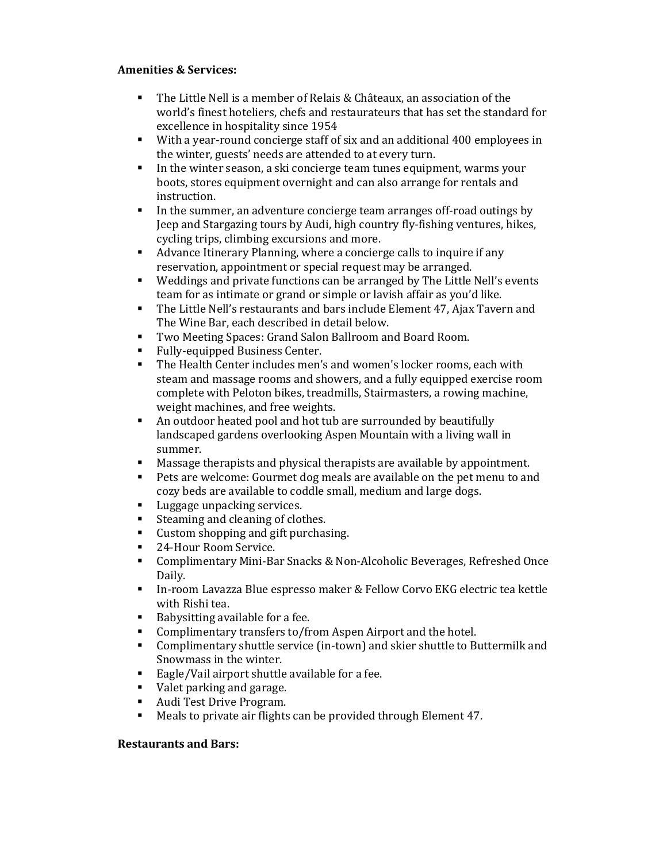# **Amenities & Services:**

- The Little Nell is a member of Relais & Châteaux, an association of the world's finest hoteliers, chefs and restaurateurs that has set the standard for excellence in hospitality since 1954
- With a year-round concierge staff of six and an additional 400 employees in the winter, guests' needs are attended to at every turn.
- In the winter season, a ski concierge team tunes equipment, warms your boots, stores equipment overnight and can also arrange for rentals and instruction.
- In the summer, an adventure concierge team arranges off-road outings by Jeep and Stargazing tours by Audi, high country fly-fishing ventures, hikes, cycling trips, climbing excursions and more.
- Advance Itinerary Planning, where a concierge calls to inquire if any reservation, appointment or special request may be arranged.
- Weddings and private functions can be arranged by The Little Nell's events team for as intimate or grand or simple or lavish affair as you'd like.
- **The Little Nell's restaurants and bars include Element 47, Ajax Tavern and** The Wine Bar, each described in detail below.
- Two Meeting Spaces: Grand Salon Ballroom and Board Room.
- Fully-equipped Business Center.
- The Health Center includes men's and women's locker rooms, each with steam and massage rooms and showers, and a fully equipped exercise room complete with Peloton bikes, treadmills, Stairmasters, a rowing machine, weight machines, and free weights.
- An outdoor heated pool and hot tub are surrounded by beautifully landscaped gardens overlooking Aspen Mountain with a living wall in summer.
- Massage therapists and physical therapists are available by appointment.
- Pets are welcome: Gourmet dog meals are available on the pet menu to and cozy beds are available to coddle small, medium and large dogs.
- Luggage unpacking services.
- Steaming and cleaning of clothes.
- Custom shopping and gift purchasing.
- 24-Hour Room Service.
- Complimentary Mini-Bar Snacks & Non-Alcoholic Beverages, Refreshed Once Daily.
- In-room Lavazza Blue espresso maker & Fellow Corvo EKG electric tea kettle with Rishi tea.
- Babysitting available for a fee.
- Complimentary transfers to/from Aspen Airport and the hotel.
- Complimentary shuttle service (in-town) and skier shuttle to Buttermilk and Snowmass in the winter.
- Eagle/Vail airport shuttle available for a fee.
- Valet parking and garage.
- Audi Test Drive Program.
- Meals to private air flights can be provided through Element 47.

## **Restaurants and Bars:**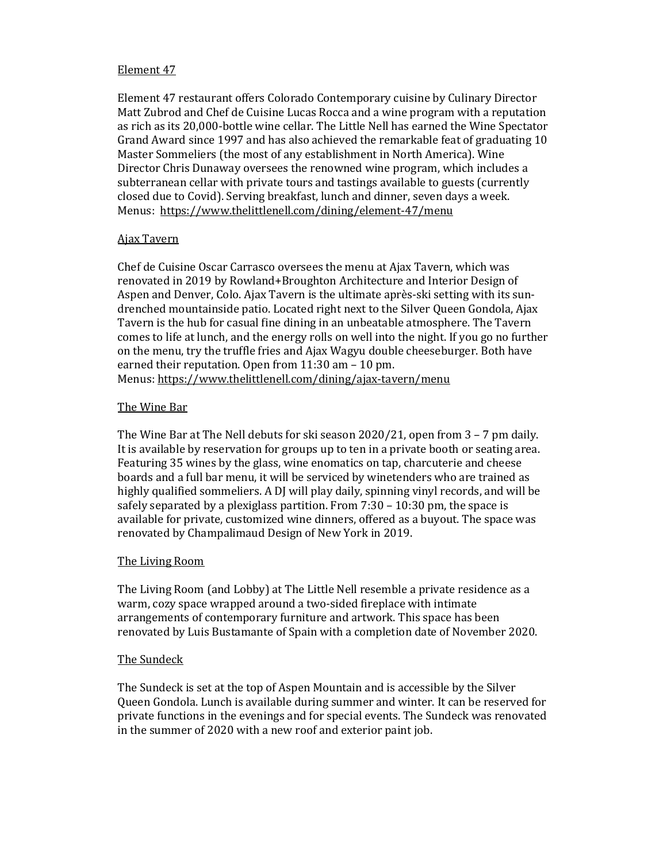## Element 47

Element 47 restaurant offers Colorado Contemporary cuisine by Culinary Director Matt Zubrod and Chef de Cuisine Lucas Rocca and a wine program with a reputation as rich as its 20,000-bottle wine cellar. The Little Nell has earned the Wine Spectator Grand Award since 1997 and has also achieved the remarkable feat of graduating 10 Master Sommeliers (the most of any establishment in North America). Wine Director Chris Dunaway oversees the renowned wine program, which includes a subterranean cellar with private tours and tastings available to guests (currently closed due to Covid). Serving breakfast, lunch and dinner, seven days a week. Menus: <https://www.thelittlenell.com/dining/element-47/menu>

#### Ajax Tavern

Chef de Cuisine Oscar Carrasco oversees the menu at Ajax Tavern, which was renovated in 2019 by Rowland+Broughton Architecture and Interior Design of Aspen and Denver, Colo. Ajax Tavern is the ultimate après-ski setting with its sundrenched mountainside patio. Located right next to the Silver Queen Gondola, Ajax Tavern is the hub for casual fine dining in an unbeatable atmosphere. The Tavern comes to life at lunch, and the energy rolls on well into the night. If you go no further on the menu, try the truffle fries and Ajax Wagyu double cheeseburger. Both have earned their reputation. Open from 11:30 am – 10 pm. Menus: <https://www.thelittlenell.com/dining/ajax-tavern/menu>

## The Wine Bar

The Wine Bar at The Nell debuts for ski season 2020/21, open from 3 – 7 pm daily. It is available by reservation for groups up to ten in a private booth or seating area. Featuring 35 wines by the glass, wine enomatics on tap, charcuterie and cheese boards and a full bar menu, it will be serviced by winetenders who are trained as highly qualified sommeliers. A DJ will play daily, spinning vinyl records, and will be safely separated by a plexiglass partition. From 7:30 – 10:30 pm, the space is available for private, customized wine dinners, offered as a buyout. The space was renovated by Champalimaud Design of New York in 2019.

## The Living Room

The Living Room (and Lobby) at The Little Nell resemble a private residence as a warm, cozy space wrapped around a two-sided fireplace with intimate arrangements of contemporary furniture and artwork. This space has been renovated by Luis Bustamante of Spain with a completion date of November 2020.

## The Sundeck

The Sundeck is set at the top of Aspen Mountain and is accessible by the Silver Queen Gondola. Lunch is available during summer and winter. It can be reserved for private functions in the evenings and for special events. The Sundeck was renovated in the summer of 2020 with a new roof and exterior paint job.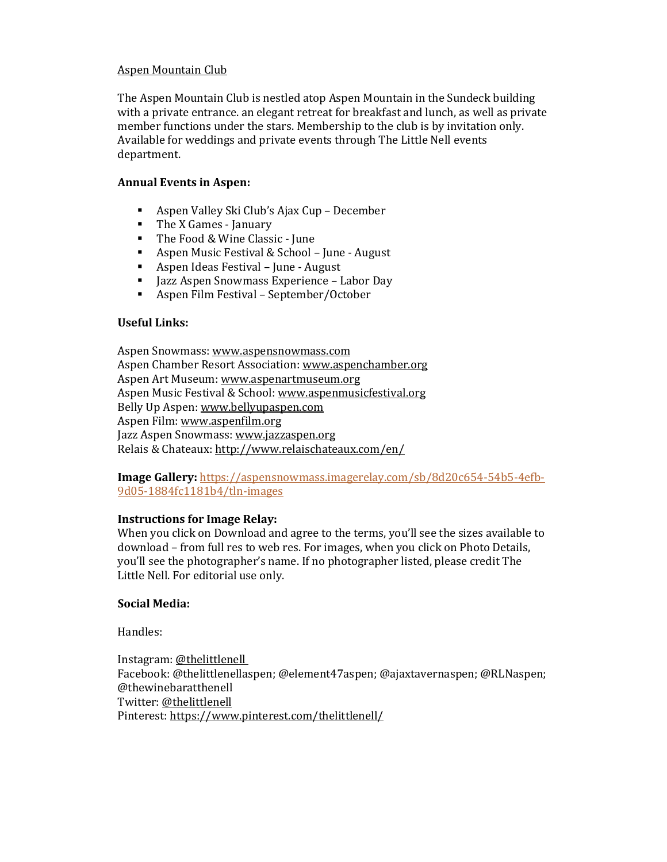# Aspen Mountain Club

The Aspen Mountain Club is nestled atop Aspen Mountain in the Sundeck building with a private entrance. an elegant retreat for breakfast and lunch, as well as private member functions under the stars. Membership to the club is by invitation only. Available for weddings and private events through The Little Nell events department.

## **Annual Events in Aspen:**

- Aspen Valley Ski Club's Ajax Cup December
- The X Games January
- The Food & Wine Classic June
- Aspen Music Festival & School June August
- Aspen Ideas Festival June August
- Jazz Aspen Snowmass Experience Labor Day
- Aspen Film Festival September/October

#### **Useful Links:**

Aspen Snowmass: [www.aspensnowmass.com](http://www.aspensnowmass.com/) Aspen Chamber Resort Association[: www.aspenchamber.org](http://www.aspenchamber.org/) Aspen Art Museum: [www.aspenartmuseum.org](http://www.aspenartmuseum.org/) Aspen Music Festival & School: [www.aspenmusicfestival.org](http://www.aspenmusicfestival.org/) Belly Up Aspen: [www.bellyupaspen.com](http://www.bellyupaspen.com/) Aspen Film: [www.aspenfilm.org](http://www.aspenfilm.org/) Jazz Aspen Snowmass: [www.jazzaspen.org](http://www.jazzaspen.org/) Relais & Chateaux[: http://www.relaischateaux.com/en/](http://www.relaischateaux.com/en/)

**Image Gallery:** [https://aspensnowmass.imagerelay.com/sb/8d20c654-54b5-4efb-](https://aspensnowmass.imagerelay.com/sb/8d20c654-54b5-4efb-9d05-1884fc1181b4/tln-images)[9d05-1884fc1181b4/tln-images](https://aspensnowmass.imagerelay.com/sb/8d20c654-54b5-4efb-9d05-1884fc1181b4/tln-images)

## **Instructions for Image Relay:**

When you click on Download and agree to the terms, you'll see the sizes available to download – from full res to web res. For images, when you click on Photo Details, you'll see the photographer's name. If no photographer listed, please credit The Little Nell. For editorial use only.

## **Social Media:**

Handles:

Instagram[: @thelittlenell](http://instagram.com/thelittlenell) Facebook: @thelittlenellaspen; @element47aspen; @ajaxtavernaspen; @RLNaspen; @thewinebaratthenell Twitter: [@thelittlenell](https://twitter.com/TheLittleNell) Pinterest:<https://www.pinterest.com/thelittlenell/>